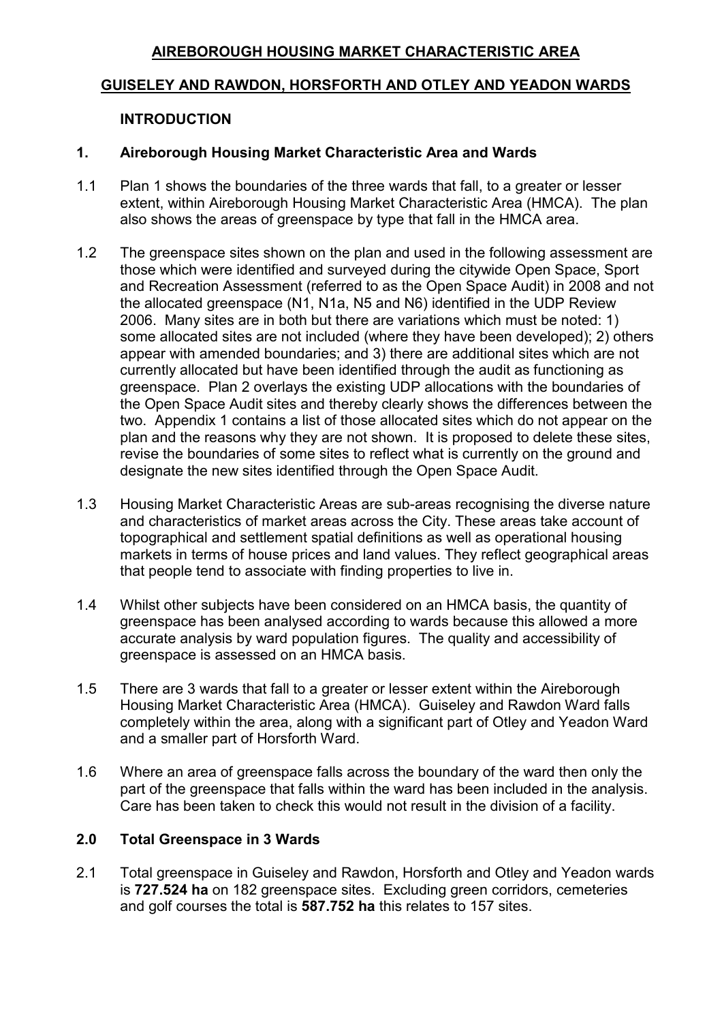# **AIREBOROUGH HOUSING MARKET CHARACTERISTIC AREA**

## **GUISELEY AND RAWDON, HORSFORTH AND OTLEY AND YEADON WARDS**

#### **INTRODUCTION**

#### **1. Aireborough Housing Market Characteristic Area and Wards**

- 1.1 Plan 1 shows the boundaries of the three wards that fall, to a greater or lesser extent, within Aireborough Housing Market Characteristic Area (HMCA). The plan also shows the areas of greenspace by type that fall in the HMCA area.
- 1.2 The greenspace sites shown on the plan and used in the following assessment are those which were identified and surveyed during the citywide Open Space, Sport and Recreation Assessment (referred to as the Open Space Audit) in 2008 and not the allocated greenspace (N1, N1a, N5 and N6) identified in the UDP Review 2006. Many sites are in both but there are variations which must be noted: 1) some allocated sites are not included (where they have been developed); 2) others appear with amended boundaries; and 3) there are additional sites which are not currently allocated but have been identified through the audit as functioning as greenspace. Plan 2 overlays the existing UDP allocations with the boundaries of the Open Space Audit sites and thereby clearly shows the differences between the two. Appendix 1 contains a list of those allocated sites which do not appear on the plan and the reasons why they are not shown. It is proposed to delete these sites, revise the boundaries of some sites to reflect what is currently on the ground and designate the new sites identified through the Open Space Audit.
- 1.3 Housing Market Characteristic Areas are sub-areas recognising the diverse nature and characteristics of market areas across the City. These areas take account of topographical and settlement spatial definitions as well as operational housing markets in terms of house prices and land values. They reflect geographical areas that people tend to associate with finding properties to live in.
- 1.4 Whilst other subjects have been considered on an HMCA basis, the quantity of greenspace has been analysed according to wards because this allowed a more accurate analysis by ward population figures. The quality and accessibility of greenspace is assessed on an HMCA basis.
- 1.5 There are 3 wards that fall to a greater or lesser extent within the Aireborough Housing Market Characteristic Area (HMCA). Guiseley and Rawdon Ward falls completely within the area, along with a significant part of Otley and Yeadon Ward and a smaller part of Horsforth Ward.
- 1.6 Where an area of greenspace falls across the boundary of the ward then only the part of the greenspace that falls within the ward has been included in the analysis. Care has been taken to check this would not result in the division of a facility.

## **2.0 Total Greenspace in 3 Wards**

2.1 Total greenspace in Guiseley and Rawdon, Horsforth and Otley and Yeadon wards is **727.524 ha** on 182 greenspace sites. Excluding green corridors, cemeteries and golf courses the total is **587.752 ha** this relates to 157 sites.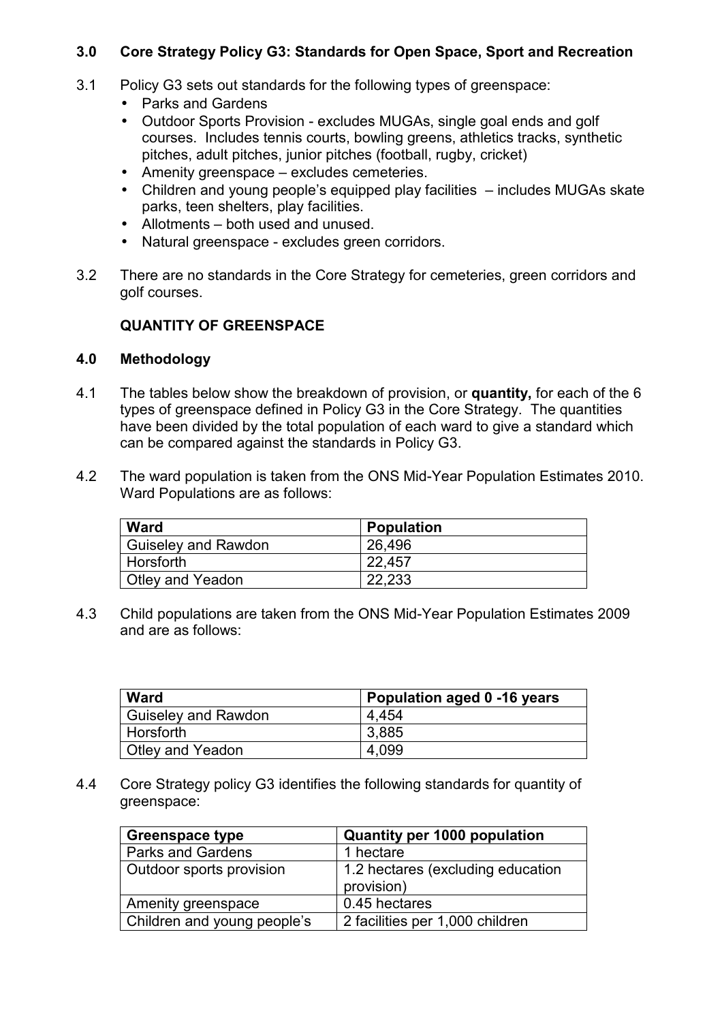# **3.0 Core Strategy Policy G3: Standards for Open Space, Sport and Recreation**

- 3.1 Policy G3 sets out standards for the following types of greenspace:
	- Parks and Gardens
	- Outdoor Sports Provision excludes MUGAs, single goal ends and golf courses. Includes tennis courts, bowling greens, athletics tracks, synthetic pitches, adult pitches, junior pitches (football, rugby, cricket)
	- Amenity greenspace excludes cemeteries.
	- Children and young people's equipped play facilities includes MUGAs skate parks, teen shelters, play facilities.
	- Allotments both used and unused.
	- Natural greenspace excludes green corridors.
- 3.2 There are no standards in the Core Strategy for cemeteries, green corridors and golf courses.

# **QUANTITY OF GREENSPACE**

# **4.0 Methodology**

- 4.1 The tables below show the breakdown of provision, or **quantity,** for each of the 6 types of greenspace defined in Policy G3 in the Core Strategy. The quantities have been divided by the total population of each ward to give a standard which can be compared against the standards in Policy G3.
- 4.2 The ward population is taken from the ONS Mid-Year Population Estimates 2010. Ward Populations are as follows:

| <b>Ward</b>                | <b>Population</b> |  |
|----------------------------|-------------------|--|
| <b>Guiseley and Rawdon</b> | 26,496            |  |
| Horsforth                  | 22,457            |  |
| Otley and Yeadon           | 22,233            |  |

4.3 Child populations are taken from the ONS Mid-Year Population Estimates 2009 and are as follows:

| Ward                | Population aged 0 -16 years |
|---------------------|-----------------------------|
| Guiseley and Rawdon | 4.454                       |
| Horsforth           | l 3.885                     |
| Otley and Yeadon    | 4,099                       |

4.4 Core Strategy policy G3 identifies the following standards for quantity of greenspace:

| <b>Greenspace type</b>          | <b>Quantity per 1000 population</b>             |
|---------------------------------|-------------------------------------------------|
| <b>Parks and Gardens</b>        | 1 hectare                                       |
| <b>Outdoor sports provision</b> | 1.2 hectares (excluding education<br>provision) |
| Amenity greenspace              | 0.45 hectares                                   |
| Children and young people's     | 2 facilities per 1,000 children                 |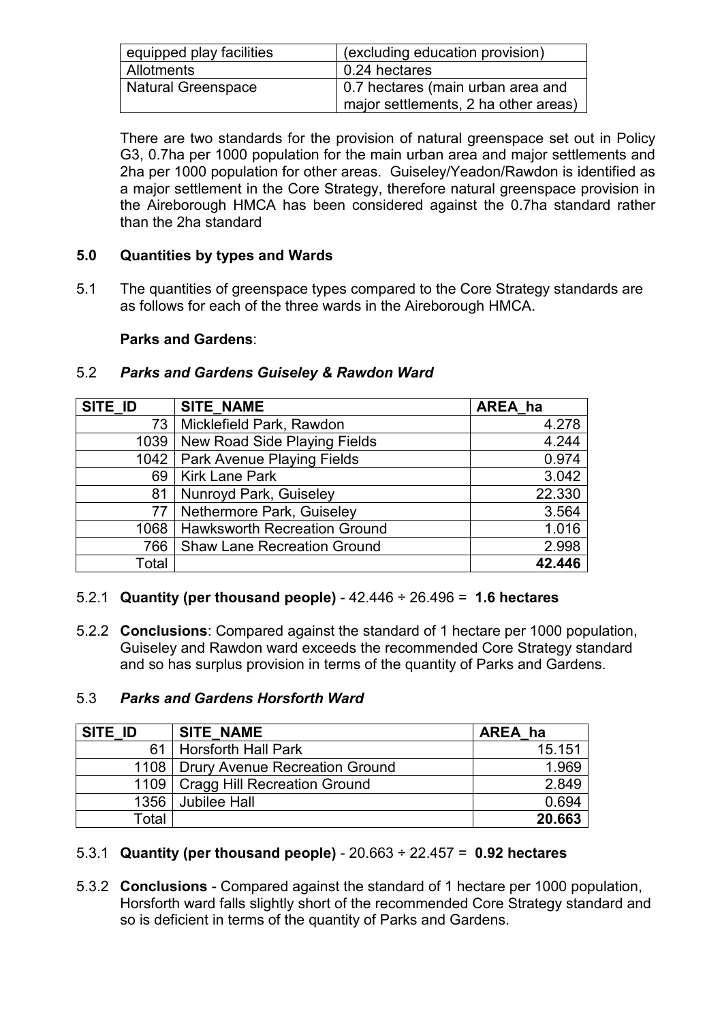| equipped play facilities  | (excluding education provision)                                           |
|---------------------------|---------------------------------------------------------------------------|
| Allotments                | l 0.24 hectares                                                           |
| <b>Natural Greenspace</b> | 0.7 hectares (main urban area and<br>major settlements, 2 ha other areas) |

There are two standards for the provision of natural greenspace set out in Policy G3, 0.7ha per 1000 population for the main urban area and major settlements and 2ha per 1000 population for other areas. Guiseley/Yeadon/Rawdon is identified as a major settlement in the Core Strategy, therefore natural greenspace provision in the Aireborough HMCA has been considered against the 0.7ha standard rather than the 2ha standard

# **5.0 Quantities by types and Wards**

5.1 The quantities of greenspace types compared to the Core Strategy standards are as follows for each of the three wards in the Aireborough HMCA.

# **Parks and Gardens**:

# 5.2 *Parks and Gardens Guiseley & Rawdon Ward*

| SITE ID | SITE_NAME                           | AREA ha |
|---------|-------------------------------------|---------|
| 73      | Micklefield Park, Rawdon            | 4.278   |
| 1039    | New Road Side Playing Fields        | 4.244   |
|         | 1042   Park Avenue Playing Fields   | 0.974   |
| 69      | <b>Kirk Lane Park</b>               | 3.042   |
| 81      | Nunroyd Park, Guiseley              | 22.330  |
| 77      | Nethermore Park, Guiseley           | 3.564   |
| 1068    | <b>Hawksworth Recreation Ground</b> | 1.016   |
| 766     | <b>Shaw Lane Recreation Ground</b>  | 2.998   |
| Total   |                                     | 42.446  |

## 5.2.1 **Quantity (per thousand people)** - 42.446 ÷ 26.496 = **1.6 hectares**

5.2.2 **Conclusions**: Compared against the standard of 1 hectare per 1000 population, Guiseley and Rawdon ward exceeds the recommended Core Strategy standard and so has surplus provision in terms of the quantity of Parks and Gardens.

# 5.3 *Parks and Gardens Horsforth Ward*

| SITE ID | <b>SITE NAME</b>                      | AREA ha |
|---------|---------------------------------------|---------|
| 61      | <b>Horsforth Hall Park</b>            | 15.151  |
|         | 1108   Drury Avenue Recreation Ground | 1.969   |
|         | 1109   Cragg Hill Recreation Ground   | 2.849   |
| 1356    | <b>Jubilee Hall</b>                   | 0.694   |
| Total   |                                       | 20.663  |

# 5.3.1 **Quantity (per thousand people)** - 20.663 ÷ 22.457 = **0.92 hectares**

5.3.2 **Conclusions** - Compared against the standard of 1 hectare per 1000 population, Horsforth ward falls slightly short of the recommended Core Strategy standard and so is deficient in terms of the quantity of Parks and Gardens.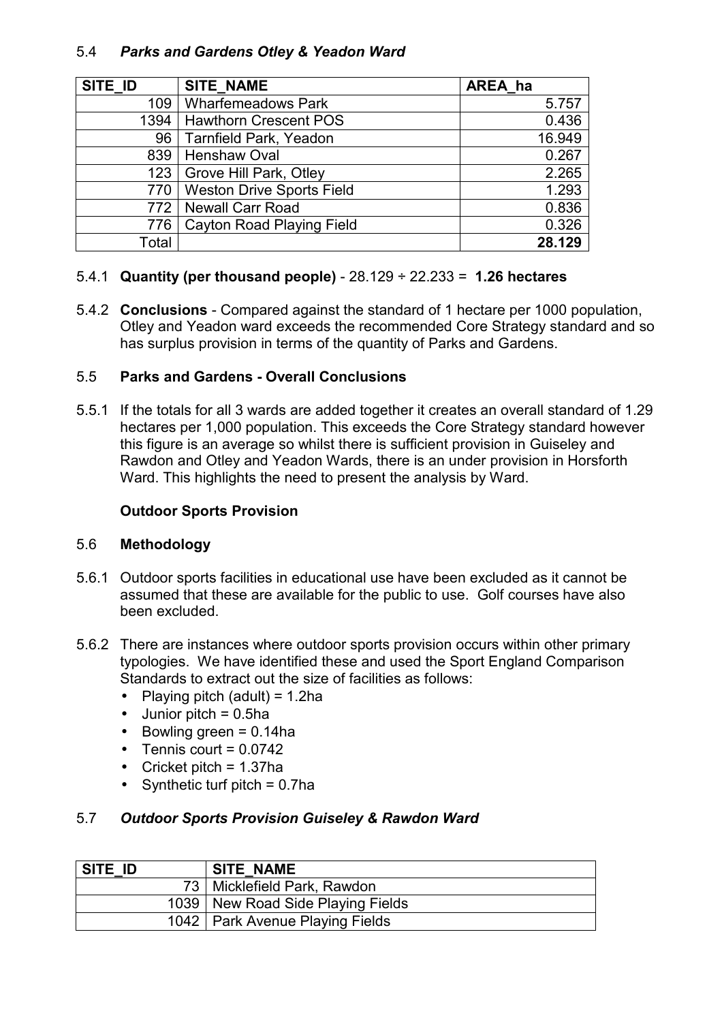# 5.4 *Parks and Gardens Otley & Yeadon Ward*

| SITE ID | <b>SITE NAME</b>                 | AREA ha |
|---------|----------------------------------|---------|
| 109     | <b>Wharfemeadows Park</b>        | 5.757   |
| 1394    | <b>Hawthorn Crescent POS</b>     | 0.436   |
| 96      | <b>Tarnfield Park, Yeadon</b>    | 16.949  |
| 839     | <b>Henshaw Oval</b>              | 0.267   |
| 123     | <b>Grove Hill Park, Otley</b>    | 2.265   |
| 770     | <b>Weston Drive Sports Field</b> | 1.293   |
| 772.    | Newall Carr Road                 | 0.836   |
| 776     | Cayton Road Playing Field        | 0.326   |
| Total   |                                  | 28.129  |

# 5.4.1 **Quantity (per thousand people)** - 28.129 ÷ 22.233 = **1.26 hectares**

5.4.2 **Conclusions** - Compared against the standard of 1 hectare per 1000 population, Otley and Yeadon ward exceeds the recommended Core Strategy standard and so has surplus provision in terms of the quantity of Parks and Gardens.

# 5.5 **Parks and Gardens - Overall Conclusions**

5.5.1 If the totals for all 3 wards are added together it creates an overall standard of 1.29 hectares per 1,000 population. This exceeds the Core Strategy standard however this figure is an average so whilst there is sufficient provision in Guiseley and Rawdon and Otley and Yeadon Wards, there is an under provision in Horsforth Ward. This highlights the need to present the analysis by Ward.

## **Outdoor Sports Provision**

## 5.6 **Methodology**

- 5.6.1 Outdoor sports facilities in educational use have been excluded as it cannot be assumed that these are available for the public to use. Golf courses have also been excluded.
- 5.6.2 There are instances where outdoor sports provision occurs within other primary typologies. We have identified these and used the Sport England Comparison Standards to extract out the size of facilities as follows:
	- Playing pitch (adult) =  $1.2$ ha
	- $\bullet$  Junior pitch = 0.5ha
	- Bowling green  $= 0.14$ ha
	- $\bullet$  Tennis court = 0.0742
	- Cricket pitch =  $1.37$ ha
	- Synthetic turf pitch  $= 0.7$ ha

## 5.7 *Outdoor Sports Provision Guiseley & Rawdon Ward*

| SITE ID | <b>SITE NAME</b>                    |
|---------|-------------------------------------|
|         | 73   Micklefield Park, Rawdon       |
|         | 1039   New Road Side Playing Fields |
|         | 1042   Park Avenue Playing Fields   |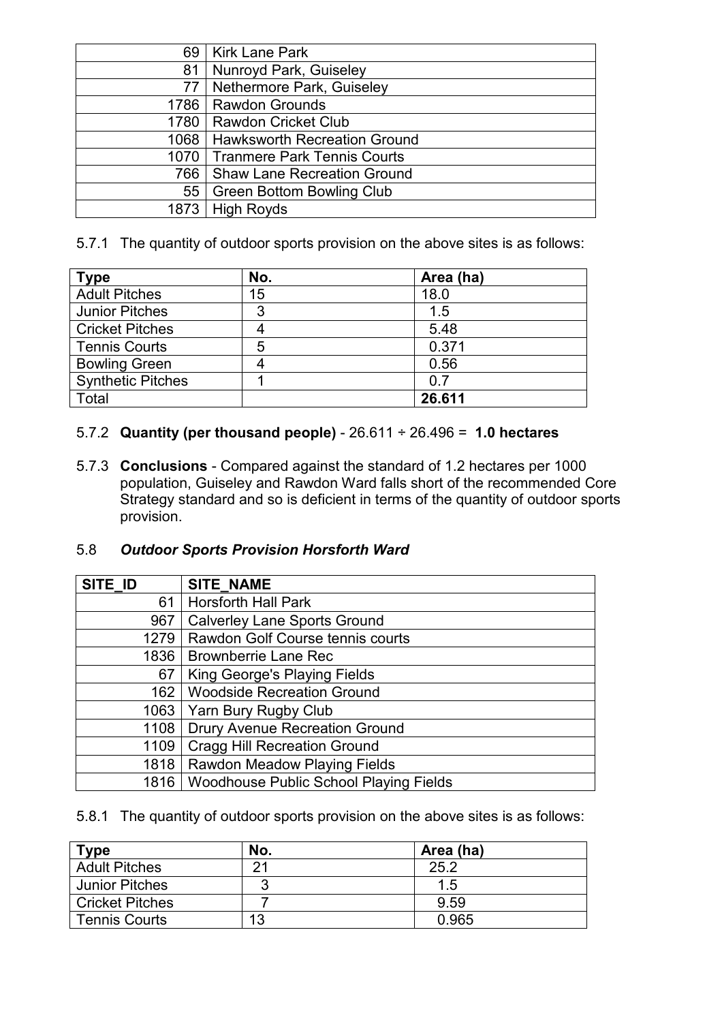| 69     | <b>Kirk Lane Park</b>               |
|--------|-------------------------------------|
| 81     | Nunroyd Park, Guiseley              |
| 77     | Nethermore Park, Guiseley           |
| 1786 l | <b>Rawdon Grounds</b>               |
|        | 1780   Rawdon Cricket Club          |
|        | 1068   Hawksworth Recreation Ground |
| 1070 l | <b>Tranmere Park Tennis Courts</b>  |
| 766    | <b>Shaw Lane Recreation Ground</b>  |
| 55     | <b>Green Bottom Bowling Club</b>    |
| 1873   | <b>High Royds</b>                   |

5.7.1 The quantity of outdoor sports provision on the above sites is as follows:

| <b>Type</b>              | No. | Area (ha) |
|--------------------------|-----|-----------|
| <b>Adult Pitches</b>     | 15  | 18.0      |
| <b>Junior Pitches</b>    | 3   | 1.5       |
| <b>Cricket Pitches</b>   |     | 5.48      |
| <b>Tennis Courts</b>     | 5   | 0.371     |
| <b>Bowling Green</b>     |     | 0.56      |
| <b>Synthetic Pitches</b> |     | 0.7       |
| Total                    |     | 26.611    |

# 5.7.2 **Quantity (per thousand people)** - 26.611 ÷ 26.496 = **1.0 hectares**

5.7.3 **Conclusions** - Compared against the standard of 1.2 hectares per 1000 population, Guiseley and Rawdon Ward falls short of the recommended Core Strategy standard and so is deficient in terms of the quantity of outdoor sports provision.

# 5.8 *Outdoor Sports Provision Horsforth Ward*

| SITE ID | <b>SITE NAME</b>                              |
|---------|-----------------------------------------------|
| 61      | <b>Horsforth Hall Park</b>                    |
| 967     | <b>Calverley Lane Sports Ground</b>           |
| 1279    | Rawdon Golf Course tennis courts              |
| 1836    | <b>Brownberrie Lane Rec</b>                   |
| 67      | King George's Playing Fields                  |
| 162     | <b>Woodside Recreation Ground</b>             |
| 1063    | Yarn Bury Rugby Club                          |
| 1108    | Drury Avenue Recreation Ground                |
| 1109    | <b>Cragg Hill Recreation Ground</b>           |
| 1818    | Rawdon Meadow Playing Fields                  |
| 1816    | <b>Woodhouse Public School Playing Fields</b> |

5.8.1 The quantity of outdoor sports provision on the above sites is as follows:

| $T$ vpe               | No. | Area (ha) |
|-----------------------|-----|-----------|
| <b>Adult Pitches</b>  | 21  | 25.2      |
| <b>Junior Pitches</b> |     | 1.5       |
| Cricket Pitches       |     | 9.59      |
| <b>Tennis Courts</b>  | 13  | 0.965     |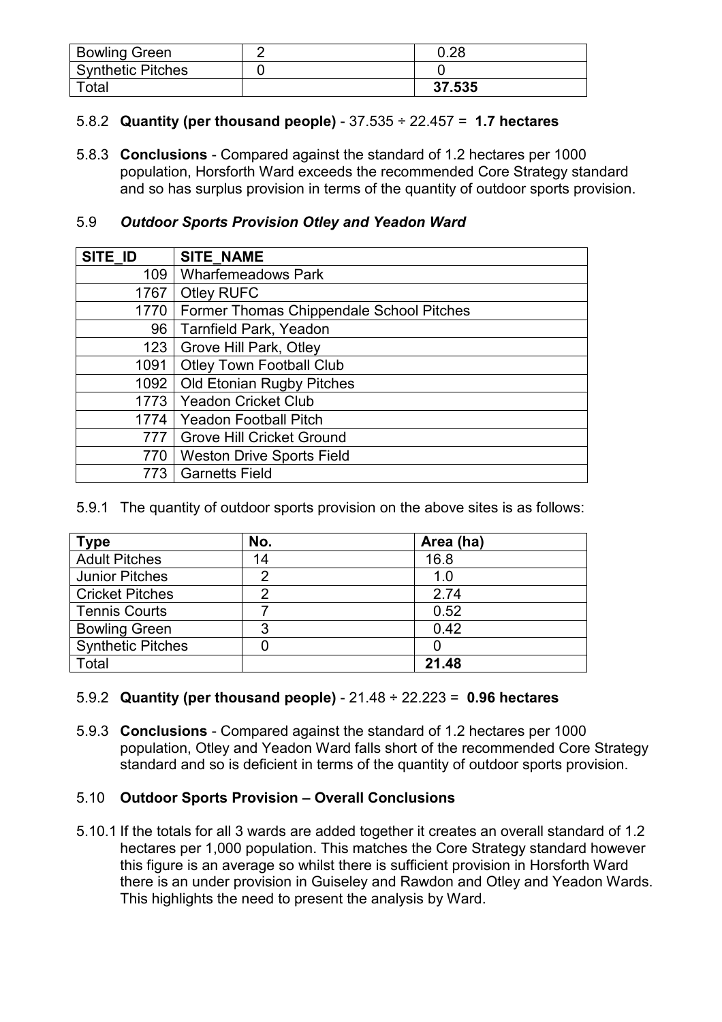| <b>Bowling Green</b>     | 0.28   |
|--------------------------|--------|
| <b>Synthetic Pitches</b> |        |
| Total                    | 37.535 |

# 5.8.2 **Quantity (per thousand people)** - 37.535 ÷ 22.457 = **1.7 hectares**

5.8.3 **Conclusions** - Compared against the standard of 1.2 hectares per 1000 population, Horsforth Ward exceeds the recommended Core Strategy standard and so has surplus provision in terms of the quantity of outdoor sports provision.

# 5.9 *Outdoor Sports Provision Otley and Yeadon Ward*

| SITE ID | <b>SITE NAME</b>                         |
|---------|------------------------------------------|
| 109     | <b>Wharfemeadows Park</b>                |
| 1767    | <b>Otley RUFC</b>                        |
| 1770    | Former Thomas Chippendale School Pitches |
| 96      | <b>Tarnfield Park, Yeadon</b>            |
| 123     | Grove Hill Park, Otley                   |
| 1091    | <b>Otley Town Football Club</b>          |
| 1092    | <b>Old Etonian Rugby Pitches</b>         |
| 1773    | <b>Yeadon Cricket Club</b>               |
| 1774    | <b>Yeadon Football Pitch</b>             |
| 777     | <b>Grove Hill Cricket Ground</b>         |
| 770     | <b>Weston Drive Sports Field</b>         |
| 773     | <b>Garnetts Field</b>                    |

## 5.9.1 The quantity of outdoor sports provision on the above sites is as follows:

| <b>Type</b>              | No. | Area (ha) |
|--------------------------|-----|-----------|
| <b>Adult Pitches</b>     | 14  | 16.8      |
| <b>Junior Pitches</b>    | っ   | 1.0       |
| <b>Cricket Pitches</b>   | 2   | 2.74      |
| <b>Tennis Courts</b>     |     | 0.52      |
| <b>Bowling Green</b>     | 3   | 0.42      |
| <b>Synthetic Pitches</b> |     |           |
| Total                    |     | 21.48     |

# 5.9.2 **Quantity (per thousand people)** - 21.48 ÷ 22.223 = **0.96 hectares**

5.9.3 **Conclusions** - Compared against the standard of 1.2 hectares per 1000 population, Otley and Yeadon Ward falls short of the recommended Core Strategy standard and so is deficient in terms of the quantity of outdoor sports provision.

# 5.10 **Outdoor Sports Provision – Overall Conclusions**

5.10.1 If the totals for all 3 wards are added together it creates an overall standard of 1.2 hectares per 1,000 population. This matches the Core Strategy standard however this figure is an average so whilst there is sufficient provision in Horsforth Ward there is an under provision in Guiseley and Rawdon and Otley and Yeadon Wards. This highlights the need to present the analysis by Ward.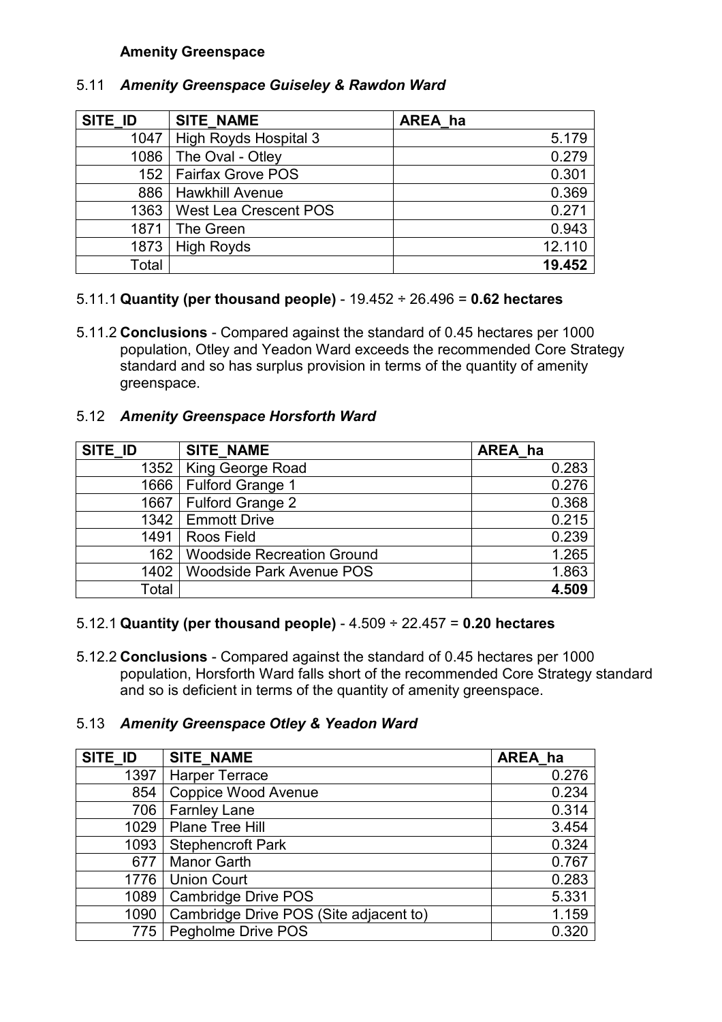# **Amenity Greenspace**

| SITE ID | <b>SITE NAME</b>             | AREA ha |
|---------|------------------------------|---------|
| 1047    | <b>High Royds Hospital 3</b> | 5.179   |
| 1086    | The Oval - Otley             | 0.279   |
|         | 152   Fairfax Grove POS      | 0.301   |
| 886     | <b>Hawkhill Avenue</b>       | 0.369   |
| 1363    | West Lea Crescent POS        | 0.271   |
| 1871    | The Green                    | 0.943   |
| 1873    | <b>High Royds</b>            | 12.110  |
| Total   |                              | 19.452  |

# 5.11 *Amenity Greenspace Guiseley & Rawdon Ward*

## 5.11.1 **Quantity (per thousand people)** - 19.452 ÷ 26.496 = **0.62 hectares**

5.11.2 **Conclusions** - Compared against the standard of 0.45 hectares per 1000 population, Otley and Yeadon Ward exceeds the recommended Core Strategy standard and so has surplus provision in terms of the quantity of amenity greenspace.

## 5.12 *Amenity Greenspace Horsforth Ward*

| SITE ID | <b>SITE NAME</b>                  | AREA ha |
|---------|-----------------------------------|---------|
| 1352    | King George Road                  | 0.283   |
| 1666    | Fulford Grange 1                  | 0.276   |
| 1667    | Fulford Grange 2                  | 0.368   |
|         | 1342   Emmott Drive               | 0.215   |
| 1491    | Roos Field                        | 0.239   |
| 162     | <b>Woodside Recreation Ground</b> | 1.265   |
| 1402    | <b>Woodside Park Avenue POS</b>   | 1.863   |
| Total   |                                   | 4.509   |

## 5.12.1 **Quantity (per thousand people)** - 4.509 ÷ 22.457 = **0.20 hectares**

5.12.2 **Conclusions** - Compared against the standard of 0.45 hectares per 1000 population, Horsforth Ward falls short of the recommended Core Strategy standard and so is deficient in terms of the quantity of amenity greenspace.

# 5.13 *Amenity Greenspace Otley & Yeadon Ward*

| SITE ID | <b>SITE NAME</b>                       | AREA ha |
|---------|----------------------------------------|---------|
| 1397    | <b>Harper Terrace</b>                  | 0.276   |
| 854     | <b>Coppice Wood Avenue</b>             | 0.234   |
| 706     | <b>Farnley Lane</b>                    | 0.314   |
| 1029    | Plane Tree Hill                        | 3.454   |
| 1093    | Stephencroft Park                      | 0.324   |
| 677     | <b>Manor Garth</b>                     | 0.767   |
| 1776    | <b>Union Court</b>                     | 0.283   |
| 1089    | <b>Cambridge Drive POS</b>             | 5.331   |
| 1090    | Cambridge Drive POS (Site adjacent to) | 1.159   |
|         | 775   Pegholme Drive POS               | 0.320   |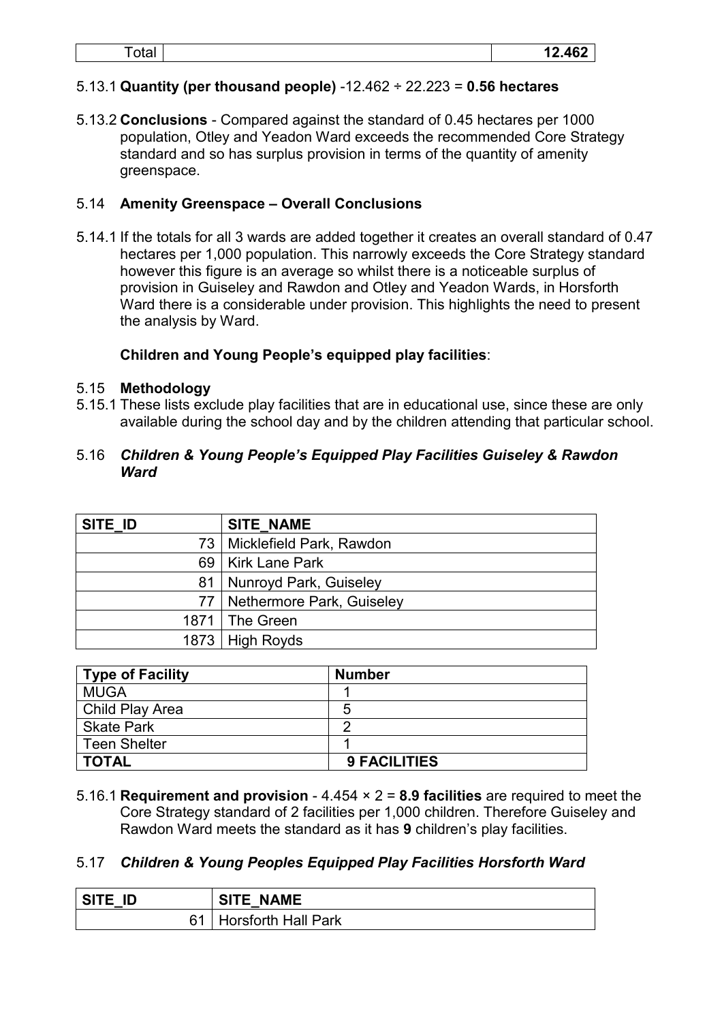# 5.13.1 **Quantity (per thousand people)** -12.462 ÷ 22.223 = **0.56 hectares**

5.13.2 **Conclusions** - Compared against the standard of 0.45 hectares per 1000 population, Otley and Yeadon Ward exceeds the recommended Core Strategy standard and so has surplus provision in terms of the quantity of amenity greenspace.

## 5.14 **Amenity Greenspace – Overall Conclusions**

5.14.1 If the totals for all 3 wards are added together it creates an overall standard of 0.47 hectares per 1,000 population. This narrowly exceeds the Core Strategy standard however this figure is an average so whilst there is a noticeable surplus of provision in Guiseley and Rawdon and Otley and Yeadon Wards, in Horsforth Ward there is a considerable under provision. This highlights the need to present the analysis by Ward.

# **Children and Young People's equipped play facilities**:

## 5.15 **Methodology**

5.15.1 These lists exclude play facilities that are in educational use, since these are only available during the school day and by the children attending that particular school.

## 5.16 *Children & Young People's Equipped Play Facilities Guiseley & Rawdon Ward*

| SITE ID | <b>SITE NAME</b>               |
|---------|--------------------------------|
|         | 73   Micklefield Park, Rawdon  |
|         | 69   Kirk Lane Park            |
| 81      | Nunroyd Park, Guiseley         |
|         | 77   Nethermore Park, Guiseley |
|         | 1871   The Green               |
|         | 1873 High Royds                |

| Type of Facility  | <b>Number</b>       |
|-------------------|---------------------|
| <b>MUGA</b>       |                     |
| Child Play Area   | 5                   |
| <b>Skate Park</b> |                     |
| Teen Shelter      |                     |
| <b>TOTAL</b>      | <b>9 FACILITIES</b> |

5.16.1 **Requirement and provision** - 4.454 × 2 = **8.9 facilities** are required to meet the Core Strategy standard of 2 facilities per 1,000 children. Therefore Guiseley and Rawdon Ward meets the standard as it has **9** children's play facilities.

## 5.17 *Children & Young Peoples Equipped Play Facilities Horsforth Ward*

| SITE ID | <b>SITE NAME</b>         |
|---------|--------------------------|
|         | 61   Horsforth Hall Park |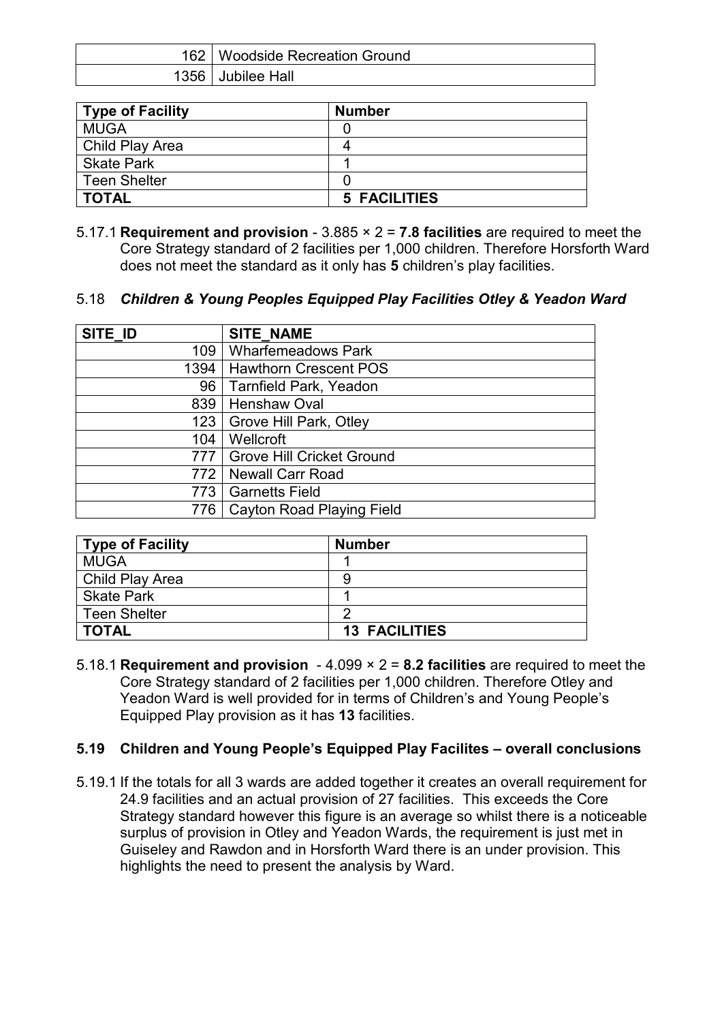| 162   Woodside Recreation Ground |
|----------------------------------|
| 1356 Jubilee Hall                |

| Type of Facility    | <b>Number</b>       |
|---------------------|---------------------|
| <b>MUGA</b>         |                     |
| Child Play Area     |                     |
| Skate Park          |                     |
| <b>Teen Shelter</b> |                     |
| <b>TOTAL</b>        | <b>5 FACILITIES</b> |

5.17.1 **Requirement and provision** - 3.885 × 2 = **7.8 facilities** are required to meet the Core Strategy standard of 2 facilities per 1,000 children. Therefore Horsforth Ward does not meet the standard as it only has **5** children's play facilities.

## 5.18 *Children & Young Peoples Equipped Play Facilities Otley & Yeadon Ward*

| SITE ID | <b>SITE NAME</b>                 |
|---------|----------------------------------|
| 109     | <b>Wharfemeadows Park</b>        |
| 1394    | <b>Hawthorn Crescent POS</b>     |
| 96      | <b>Tarnfield Park, Yeadon</b>    |
| 839     | <b>Henshaw Oval</b>              |
| 123     | Grove Hill Park, Otley           |
| 104     | Wellcroft                        |
| 777     | <b>Grove Hill Cricket Ground</b> |
| 772.    | <b>Newall Carr Road</b>          |
| 773     | <b>Garnetts Field</b>            |
| 776     | <b>Cayton Road Playing Field</b> |

| Type of Facility    | <b>Number</b>        |
|---------------------|----------------------|
| <b>MUGA</b>         |                      |
| Child Play Area     | 9                    |
| <b>Skate Park</b>   |                      |
| <b>Teen Shelter</b> |                      |
| <b>TOTAL</b>        | <b>13 FACILITIES</b> |

5.18.1 **Requirement and provision** - 4.099 × 2 = **8.2 facilities** are required to meet the Core Strategy standard of 2 facilities per 1,000 children. Therefore Otley and Yeadon Ward is well provided for in terms of Children's and Young People's Equipped Play provision as it has **13** facilities.

# **5.19 Children and Young People's Equipped Play Facilites – overall conclusions**

5.19.1 If the totals for all 3 wards are added together it creates an overall requirement for 24.9 facilities and an actual provision of 27 facilities. This exceeds the Core Strategy standard however this figure is an average so whilst there is a noticeable surplus of provision in Otley and Yeadon Wards, the requirement is just met in Guiseley and Rawdon and in Horsforth Ward there is an under provision. This highlights the need to present the analysis by Ward.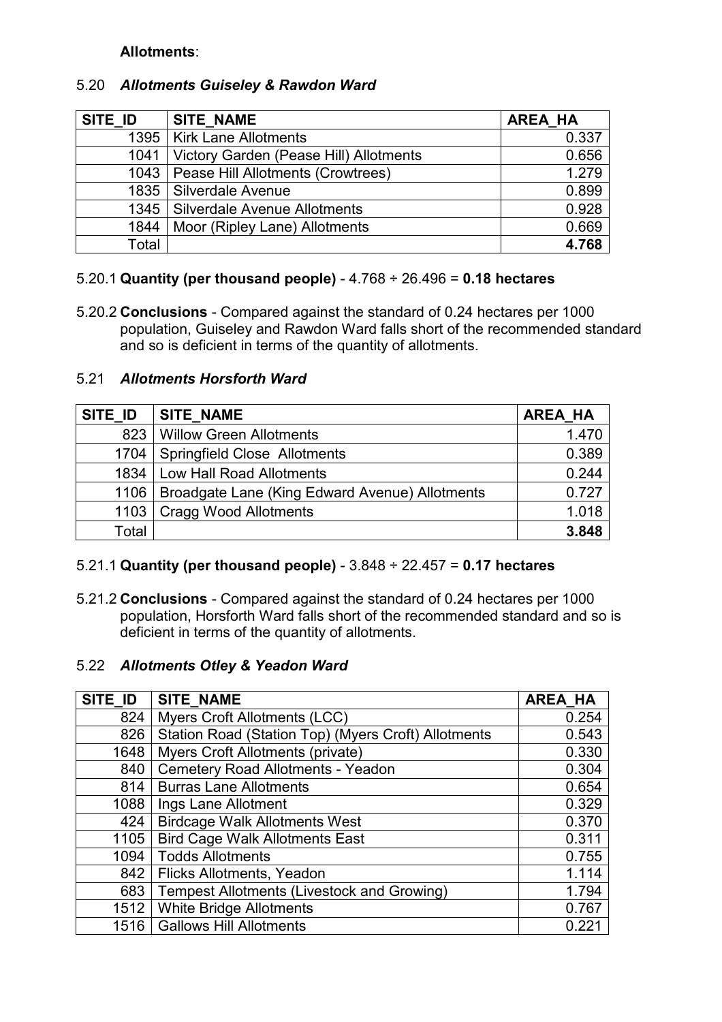## **Allotments**:

# 5.20 *Allotments Guiseley & Rawdon Ward*

| SITE ID | <b>SITE NAME</b>                       | <b>AREA HA</b> |
|---------|----------------------------------------|----------------|
|         | 1395   Kirk Lane Allotments            | 0.337          |
| 1041    | Victory Garden (Pease Hill) Allotments | 0.656          |
| 1043    | Pease Hill Allotments (Crowtrees)      | 1.279          |
|         | 1835   Silverdale Avenue               | 0.899          |
| 1345    | Silverdale Avenue Allotments           | 0.928          |
| 1844    | Moor (Ripley Lane) Allotments          | 0.669          |
| Total   |                                        | 4.768          |

# 5.20.1 **Quantity (per thousand people)** - 4.768 ÷ 26.496 = **0.18 hectares**

5.20.2 **Conclusions** - Compared against the standard of 0.24 hectares per 1000 population, Guiseley and Rawdon Ward falls short of the recommended standard and so is deficient in terms of the quantity of allotments.

# 5.21 *Allotments Horsforth Ward*

| SITE ID | SITE NAME                                      | <b>AREA HA</b> |
|---------|------------------------------------------------|----------------|
| 823     | <b>Willow Green Allotments</b>                 | 1.470          |
| 1704    | <b>Springfield Close Allotments</b>            | 0.389          |
| 1834 l  | Low Hall Road Allotments                       | 0.244          |
| 1106    | Broadgate Lane (King Edward Avenue) Allotments | 0.727          |
| 1103    | <b>Cragg Wood Allotments</b>                   | 1.018          |
| Total   |                                                | 3.848          |

## 5.21.1 **Quantity (per thousand people)** - 3.848 ÷ 22.457 = **0.17 hectares**

5.21.2 **Conclusions** - Compared against the standard of 0.24 hectares per 1000 population, Horsforth Ward falls short of the recommended standard and so is deficient in terms of the quantity of allotments.

## 5.22 *Allotments Otley & Yeadon Ward*

| SITE ID | <b>SITE NAME</b>                                    | <b>AREA HA</b> |
|---------|-----------------------------------------------------|----------------|
| 824     | Myers Croft Allotments (LCC)                        | 0.254          |
| 826     | Station Road (Station Top) (Myers Croft) Allotments | 0.543          |
| 1648    | <b>Myers Croft Allotments (private)</b>             | 0.330          |
| 840     | Cemetery Road Allotments - Yeadon                   | 0.304          |
| 814     | <b>Burras Lane Allotments</b>                       | 0.654          |
| 1088    | Ings Lane Allotment                                 | 0.329          |
| 424     | <b>Birdcage Walk Allotments West</b>                | 0.370          |
| 1105    | <b>Bird Cage Walk Allotments East</b>               | 0.311          |
| 1094    | <b>Todds Allotments</b>                             | 0.755          |
| 842     | Flicks Allotments, Yeadon                           | 1.114          |
| 683     | Tempest Allotments (Livestock and Growing)          | 1.794          |
| 1512    | <b>White Bridge Allotments</b>                      | 0.767          |
| 1516    | <b>Gallows Hill Allotments</b>                      | 0.221          |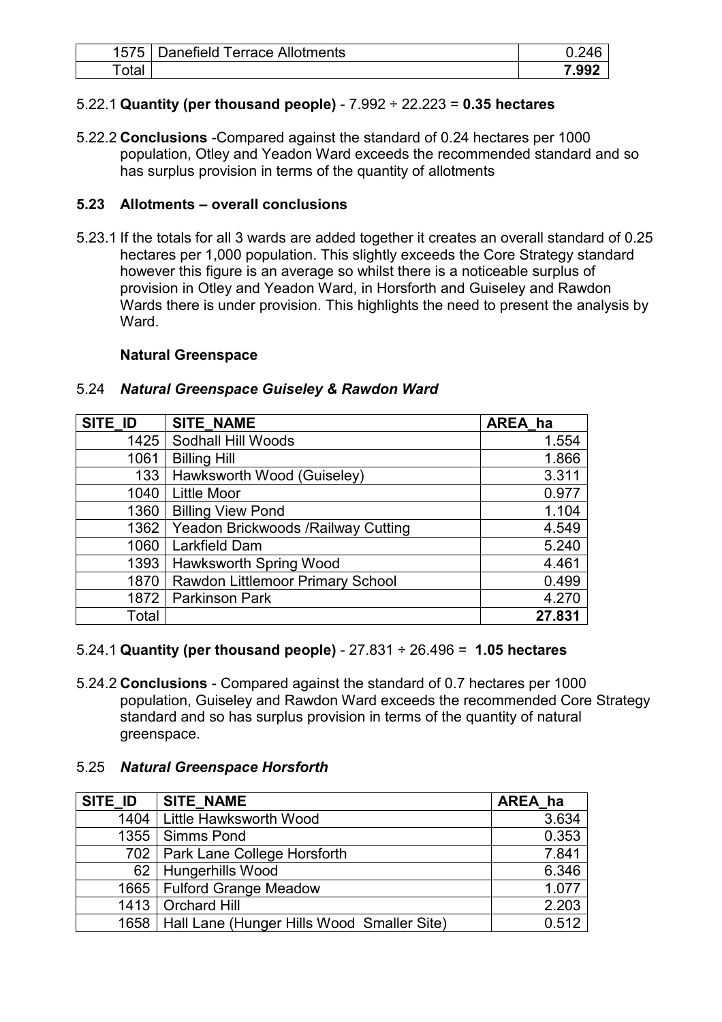| 1575 <sub>1</sub> | <b>Danefield Terrace Allotments</b> |       |
|-------------------|-------------------------------------|-------|
| $\tau$ otal       |                                     | 7.992 |

# 5.22.1 **Quantity (per thousand people)** - 7.992 ÷ 22.223 = **0.35 hectares**

5.22.2 **Conclusions** -Compared against the standard of 0.24 hectares per 1000 population, Otley and Yeadon Ward exceeds the recommended standard and so has surplus provision in terms of the quantity of allotments

# **5.23 Allotments – overall conclusions**

5.23.1 If the totals for all 3 wards are added together it creates an overall standard of 0.25 hectares per 1,000 population. This slightly exceeds the Core Strategy standard however this figure is an average so whilst there is a noticeable surplus of provision in Otley and Yeadon Ward, in Horsforth and Guiseley and Rawdon Wards there is under provision. This highlights the need to present the analysis by **Ward** 

# **Natural Greenspace**

## 5.24 *Natural Greenspace Guiseley & Rawdon Ward*

| SITE ID | <b>SITE NAME</b>                    | AREA ha |
|---------|-------------------------------------|---------|
| 1425    | Sodhall Hill Woods                  | 1.554   |
| 1061    | <b>Billing Hill</b>                 | 1.866   |
| 133     | Hawksworth Wood (Guiseley)          | 3.311   |
| 1040    | <b>Little Moor</b>                  | 0.977   |
| 1360    | <b>Billing View Pond</b>            | 1.104   |
| 1362    | Yeadon Brickwoods / Railway Cutting | 4.549   |
| 1060    | Larkfield Dam                       | 5.240   |
| 1393    | Hawksworth Spring Wood              | 4.461   |
| 1870    | Rawdon Littlemoor Primary School    | 0.499   |
| 1872    | <b>Parkinson Park</b>               | 4.270   |
| Total   |                                     | 27.831  |

## 5.24.1 **Quantity (per thousand people)** - 27.831 ÷ 26.496 = **1.05 hectares**

5.24.2 **Conclusions** - Compared against the standard of 0.7 hectares per 1000 population, Guiseley and Rawdon Ward exceeds the recommended Core Strategy standard and so has surplus provision in terms of the quantity of natural greenspace.

## 5.25 *Natural Greenspace Horsforth*

| SITE ID | <b>SITE NAME</b>                                  | AREA ha |
|---------|---------------------------------------------------|---------|
|         | 1404   Little Hawksworth Wood                     | 3.634   |
|         | 1355   Simms Pond                                 | 0.353   |
|         | 702   Park Lane College Horsforth                 | 7.841   |
|         | 62   Hungerhills Wood                             | 6.346   |
|         | 1665   Fulford Grange Meadow                      | 1.077   |
|         | 1413   Orchard Hill                               | 2.203   |
|         | 1658   Hall Lane (Hunger Hills Wood Smaller Site) | 0.512   |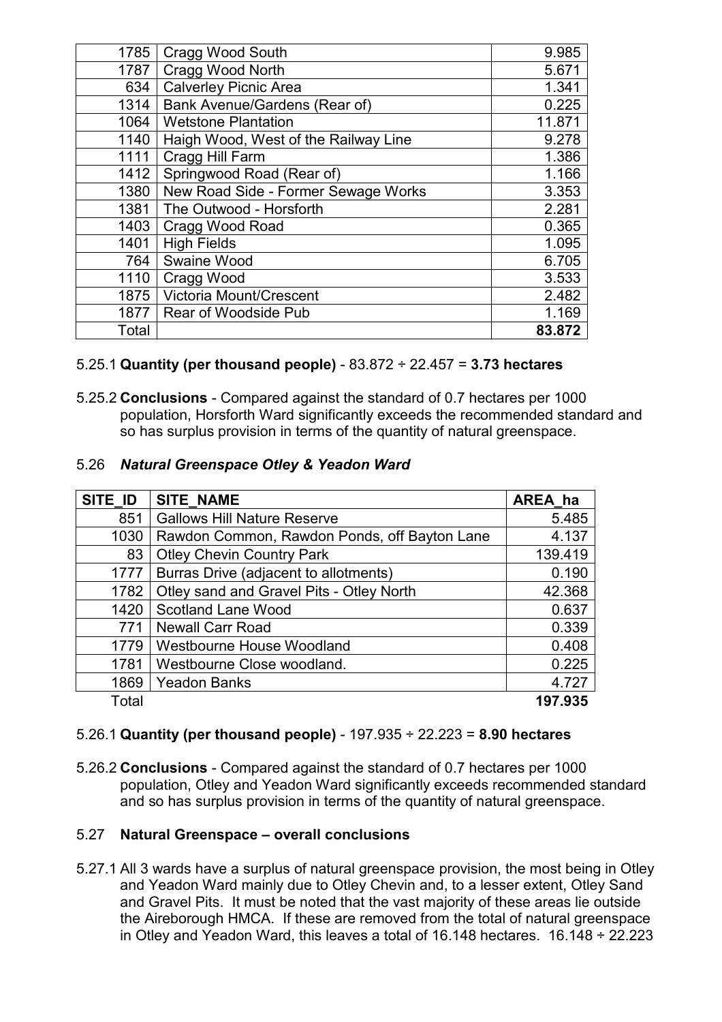| 1785  | Cragg Wood South                     | 9.985  |
|-------|--------------------------------------|--------|
| 1787  | Cragg Wood North                     | 5.671  |
| 634   | <b>Calverley Picnic Area</b>         | 1.341  |
| 1314  | Bank Avenue/Gardens (Rear of)        | 0.225  |
| 1064  | <b>Wetstone Plantation</b>           | 11.871 |
| 1140  | Haigh Wood, West of the Railway Line | 9.278  |
| 1111  | Cragg Hill Farm                      | 1.386  |
| 1412  | Springwood Road (Rear of)            | 1.166  |
| 1380  | New Road Side - Former Sewage Works  | 3.353  |
| 1381  | The Outwood - Horsforth              | 2.281  |
| 1403  | Cragg Wood Road                      | 0.365  |
| 1401  | <b>High Fields</b>                   | 1.095  |
| 764   | Swaine Wood                          | 6.705  |
| 1110  | Cragg Wood                           | 3.533  |
| 1875  | Victoria Mount/Crescent              | 2.482  |
| 1877  | Rear of Woodside Pub                 | 1.169  |
| Total |                                      | 83.872 |

# 5.25.1 **Quantity (per thousand people)** - 83.872 ÷ 22.457 = **3.73 hectares**

5.25.2 **Conclusions** - Compared against the standard of 0.7 hectares per 1000 population, Horsforth Ward significantly exceeds the recommended standard and so has surplus provision in terms of the quantity of natural greenspace.

#### 5.26 *Natural Greenspace Otley & Yeadon Ward*

| SITE_ID | <b>SITE NAME</b>                             | AREA ha |
|---------|----------------------------------------------|---------|
| 851     | <b>Gallows Hill Nature Reserve</b>           | 5.485   |
| 1030    | Rawdon Common, Rawdon Ponds, off Bayton Lane | 4.137   |
| 83      | <b>Otley Chevin Country Park</b>             | 139.419 |
| 1777    | Burras Drive (adjacent to allotments)        | 0.190   |
| 1782    | Otley sand and Gravel Pits - Otley North     | 42.368  |
| 1420    | <b>Scotland Lane Wood</b>                    | 0.637   |
| 771     | <b>Newall Carr Road</b>                      | 0.339   |
| 1779    | Westbourne House Woodland                    | 0.408   |
| 1781    | Westbourne Close woodland.                   | 0.225   |
| 1869    | <b>Yeadon Banks</b>                          | 4.727   |
| Total   |                                              | 197.935 |

## 5.26.1 **Quantity (per thousand people)** - 197.935 ÷ 22.223 = **8.90 hectares**

5.26.2 **Conclusions** - Compared against the standard of 0.7 hectares per 1000 population, Otley and Yeadon Ward significantly exceeds recommended standard and so has surplus provision in terms of the quantity of natural greenspace.

#### 5.27 **Natural Greenspace – overall conclusions**

5.27.1 All 3 wards have a surplus of natural greenspace provision, the most being in Otley and Yeadon Ward mainly due to Otley Chevin and, to a lesser extent, Otley Sand and Gravel Pits. It must be noted that the vast majority of these areas lie outside the Aireborough HMCA. If these are removed from the total of natural greenspace in Otley and Yeadon Ward, this leaves a total of 16.148 hectares.  $16.148 \div 22.223$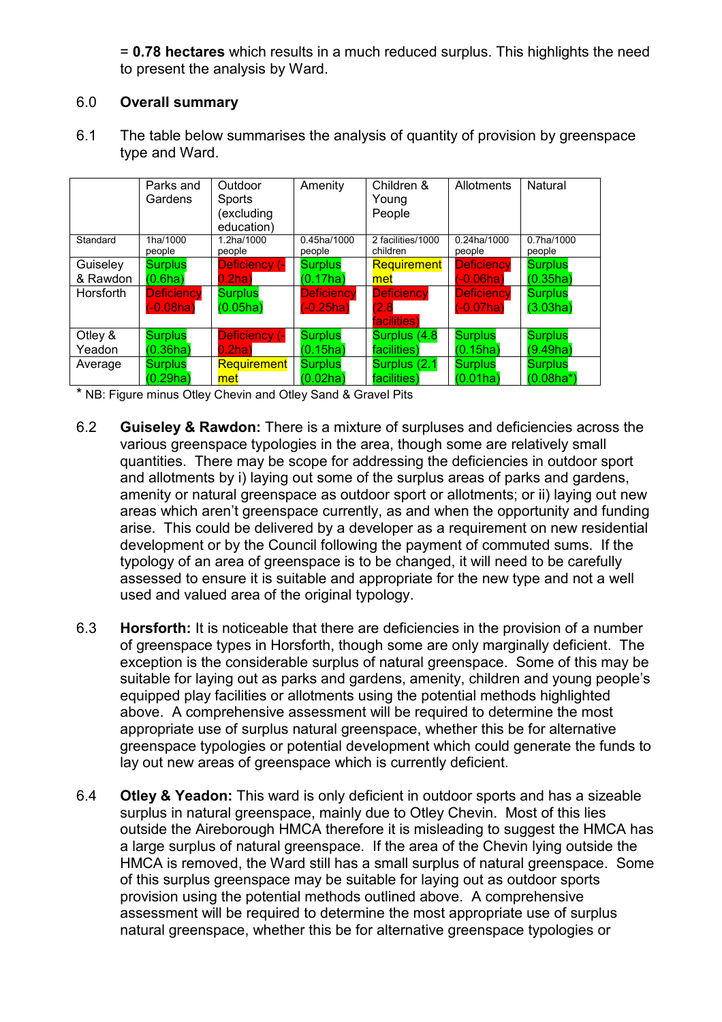= **0.78 hectares** which results in a much reduced surplus. This highlights the need to present the analysis by Ward.

# 6.0 **Overall summary**

6.1 The table below summarises the analysis of quantity of provision by greenspace type and Ward.

|                  | Parks and<br>Gardens | Outdoor<br>Sports<br>(excluding<br>education) | Amenity               | Children &<br>Young<br>People | Allotments            | Natural               |
|------------------|----------------------|-----------------------------------------------|-----------------------|-------------------------------|-----------------------|-----------------------|
| Standard         | 1ha/1000<br>people   | 1.2ha/1000<br>people                          | 0.45ha/1000<br>people | 2 facilities/1000<br>children | 0.24ha/1000<br>people | 0.7ha/1000<br>people  |
| Guiseley         | <b>Surplus</b>       | <b>Deficiency (-</b>                          | <b>Surplus</b>        | Requirement                   | <b>Deficiency</b>     | <b>Surplus</b>        |
| & Rawdon         | (0.6ha)              | $0.2$ ha $)$                                  | (0.17ha)              | met                           | $(-0.06ha)$           | (0.35ha)              |
| <b>Horsforth</b> | <b>Deficiency</b>    | <b>Surplus</b>                                | <b>Deficiency</b>     | <b>Deficiency</b>             | <b>Deficiency</b>     | <b>Surplus</b>        |
|                  | $(-0.08ha)$          | (0.05ha)                                      | $(-0.25ha)$           | (2.8)                         | $(-0.07ha)$           | (3.03ha)              |
|                  |                      |                                               |                       | facilities)                   |                       |                       |
| Otley &          | <b>Surplus</b>       | Deficiency (-                                 | <b>Surplus</b>        | Surplus (4.8)                 | <b>Surplus</b>        | <b>Surplus</b>        |
| Yeadon           | (0.36ha)             | $0.2$ ha)                                     | (0.15ha)              | facilities)                   | (0.15ha)              | (9.49 <sub>ha</sub> ) |
| Average          | <b>Surplus</b>       | Requirement                                   | <b>Surplus</b>        | Surplus (2.1)                 | <b>Surplus</b>        | <b>Surplus</b>        |
|                  | (0.29ha)             | met                                           | (0.02ha)              | facilities)                   | (0.01ha)              | $(0.08ha*)$           |

\* NB: Figure minus Otley Chevin and Otley Sand & Gravel Pits

- 6.2 **Guiseley & Rawdon:** There is a mixture of surpluses and deficiencies across the various greenspace typologies in the area, though some are relatively small quantities. There may be scope for addressing the deficiencies in outdoor sport and allotments by i) laying out some of the surplus areas of parks and gardens, amenity or natural greenspace as outdoor sport or allotments; or ii) laying out new areas which aren't greenspace currently, as and when the opportunity and funding arise. This could be delivered by a developer as a requirement on new residential development or by the Council following the payment of commuted sums. If the typology of an area of greenspace is to be changed, it will need to be carefully assessed to ensure it is suitable and appropriate for the new type and not a well used and valued area of the original typology.
- 6.3 **Horsforth:** It is noticeable that there are deficiencies in the provision of a number of greenspace types in Horsforth, though some are only marginally deficient. The exception is the considerable surplus of natural greenspace. Some of this may be suitable for laying out as parks and gardens, amenity, children and young people's equipped play facilities or allotments using the potential methods highlighted above. A comprehensive assessment will be required to determine the most appropriate use of surplus natural greenspace, whether this be for alternative greenspace typologies or potential development which could generate the funds to lay out new areas of greenspace which is currently deficient.
- 6.4 **Otley & Yeadon:** This ward is only deficient in outdoor sports and has a sizeable surplus in natural greenspace, mainly due to Otley Chevin. Most of this lies outside the Aireborough HMCA therefore it is misleading to suggest the HMCA has a large surplus of natural greenspace. If the area of the Chevin lying outside the HMCA is removed, the Ward still has a small surplus of natural greenspace. Some of this surplus greenspace may be suitable for laying out as outdoor sports provision using the potential methods outlined above. A comprehensive assessment will be required to determine the most appropriate use of surplus natural greenspace, whether this be for alternative greenspace typologies or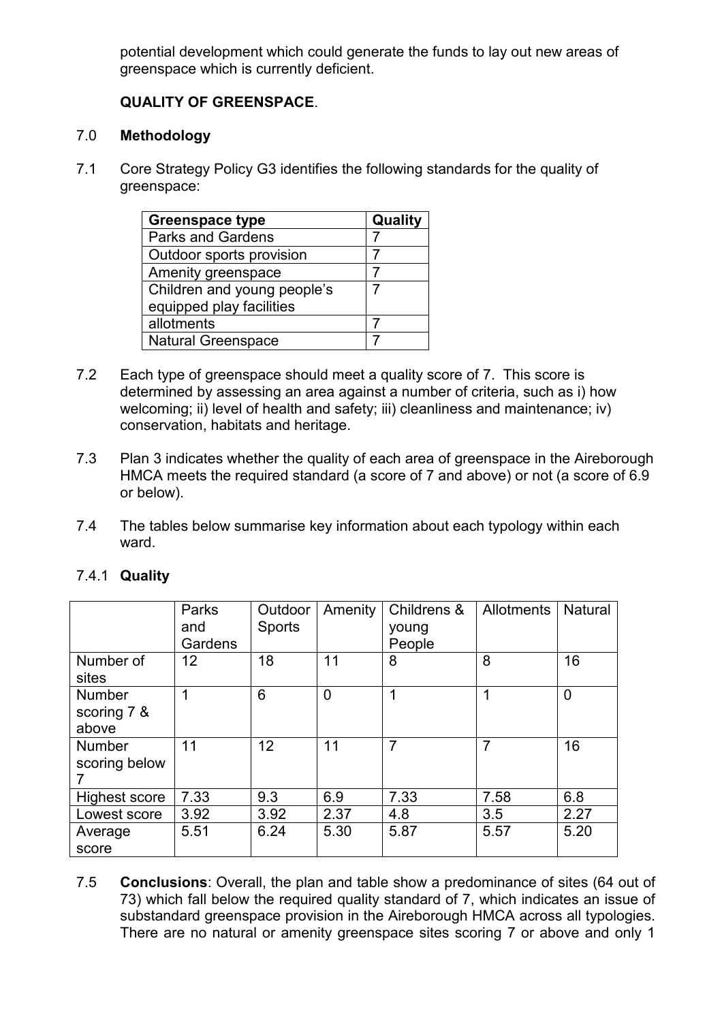potential development which could generate the funds to lay out new areas of greenspace which is currently deficient.

# **QUALITY OF GREENSPACE**.

# 7.0 **Methodology**

7.1 Core Strategy Policy G3 identifies the following standards for the quality of greenspace:

| <b>Greenspace type</b>      | Quality |
|-----------------------------|---------|
| <b>Parks and Gardens</b>    |         |
| Outdoor sports provision    |         |
| Amenity greenspace          |         |
| Children and young people's |         |
| equipped play facilities    |         |
| allotments                  |         |
| <b>Natural Greenspace</b>   |         |

- 7.2 Each type of greenspace should meet a quality score of 7. This score is determined by assessing an area against a number of criteria, such as i) how welcoming; ii) level of health and safety; iii) cleanliness and maintenance; iv) conservation, habitats and heritage.
- 7.3 Plan 3 indicates whether the quality of each area of greenspace in the Aireborough HMCA meets the required standard (a score of 7 and above) or not (a score of 6.9 or below).
- 7.4 The tables below summarise key information about each typology within each ward.

|                      | Parks<br>and | Outdoor<br><b>Sports</b> | Amenity        | Childrens &<br>young | Allotments | <b>Natural</b> |
|----------------------|--------------|--------------------------|----------------|----------------------|------------|----------------|
|                      | Gardens      |                          |                | People               |            |                |
| Number of            | 12           | 18                       | 11             | 8                    | 8          | 16             |
| sites                |              |                          |                |                      |            |                |
| <b>Number</b>        | 1            | 6                        | $\overline{0}$ | 1                    | 1          | 0              |
| scoring 7 &          |              |                          |                |                      |            |                |
| above                |              |                          |                |                      |            |                |
| <b>Number</b>        | 11           | 12                       | 11             | $\overline{7}$       | 7          | 16             |
| scoring below        |              |                          |                |                      |            |                |
|                      |              |                          |                |                      |            |                |
| <b>Highest score</b> | 7.33         | 9.3                      | 6.9            | 7.33                 | 7.58       | 6.8            |
| Lowest score         | 3.92         | 3.92                     | 2.37           | 4.8                  | 3.5        | 2.27           |
| Average              | 5.51         | 6.24                     | 5.30           | 5.87                 | 5.57       | 5.20           |
| score                |              |                          |                |                      |            |                |

# 7.4.1 **Quality**

7.5 **Conclusions**: Overall, the plan and table show a predominance of sites (64 out of 73) which fall below the required quality standard of 7, which indicates an issue of substandard greenspace provision in the Aireborough HMCA across all typologies. There are no natural or amenity greenspace sites scoring 7 or above and only 1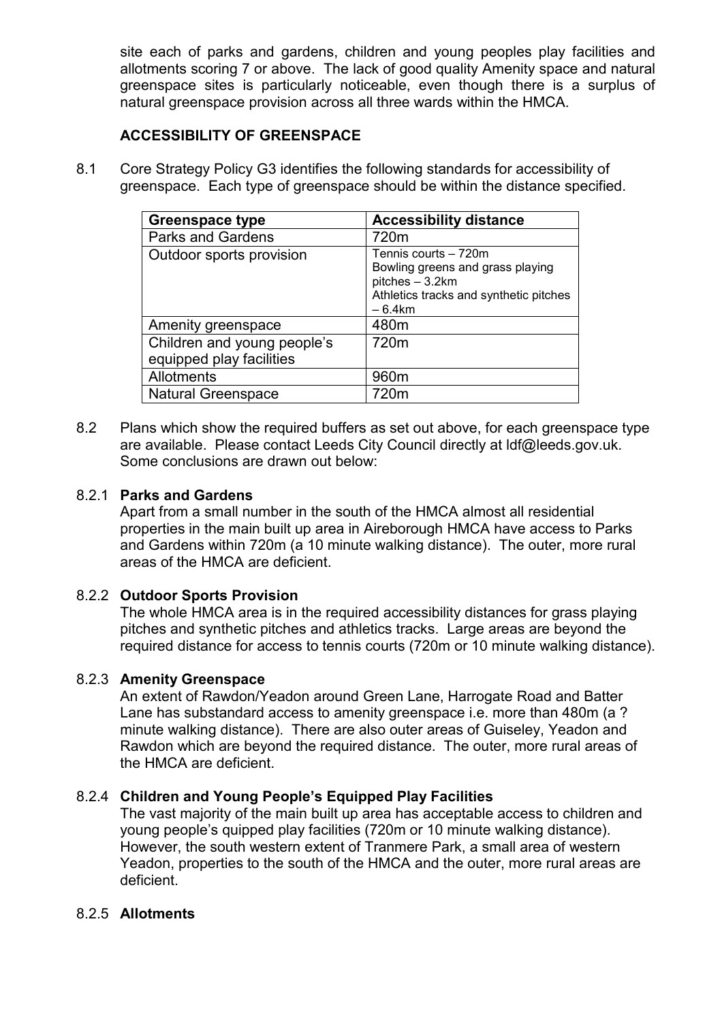site each of parks and gardens, children and young peoples play facilities and allotments scoring 7 or above. The lack of good quality Amenity space and natural greenspace sites is particularly noticeable, even though there is a surplus of natural greenspace provision across all three wards within the HMCA.

# **ACCESSIBILITY OF GREENSPACE**

8.1 Core Strategy Policy G3 identifies the following standards for accessibility of greenspace. Each type of greenspace should be within the distance specified.

| <b>Greenspace type</b>                                  | <b>Accessibility distance</b>                                                                                                     |
|---------------------------------------------------------|-----------------------------------------------------------------------------------------------------------------------------------|
| <b>Parks and Gardens</b>                                | 720m                                                                                                                              |
| Outdoor sports provision                                | Tennis courts - 720m<br>Bowling greens and grass playing<br>pitches - 3.2km<br>Athletics tracks and synthetic pitches<br>$-6.4km$ |
| Amenity greenspace                                      | 480m                                                                                                                              |
| Children and young people's<br>equipped play facilities | 720m                                                                                                                              |
| Allotments                                              | 960m                                                                                                                              |
| <b>Natural Greenspace</b>                               | 720m                                                                                                                              |

8.2 Plans which show the required buffers as set out above, for each greenspace type are available. Please contact Leeds City Council directly at ldf@leeds.gov.uk. Some conclusions are drawn out below:

#### 8.2.1 **Parks and Gardens**

Apart from a small number in the south of the HMCA almost all residential properties in the main built up area in Aireborough HMCA have access to Parks and Gardens within 720m (a 10 minute walking distance). The outer, more rural areas of the HMCA are deficient.

## 8.2.2 **Outdoor Sports Provision**

The whole HMCA area is in the required accessibility distances for grass playing pitches and synthetic pitches and athletics tracks. Large areas are beyond the required distance for access to tennis courts (720m or 10 minute walking distance).

## 8.2.3 **Amenity Greenspace**

An extent of Rawdon/Yeadon around Green Lane, Harrogate Road and Batter Lane has substandard access to amenity greenspace i.e. more than 480m (a ? minute walking distance). There are also outer areas of Guiseley, Yeadon and Rawdon which are beyond the required distance. The outer, more rural areas of the HMCA are deficient.

## 8.2.4 **Children and Young People's Equipped Play Facilities**

The vast majority of the main built up area has acceptable access to children and young people's quipped play facilities (720m or 10 minute walking distance). However, the south western extent of Tranmere Park, a small area of western Yeadon, properties to the south of the HMCA and the outer, more rural areas are deficient.

#### 8.2.5 **Allotments**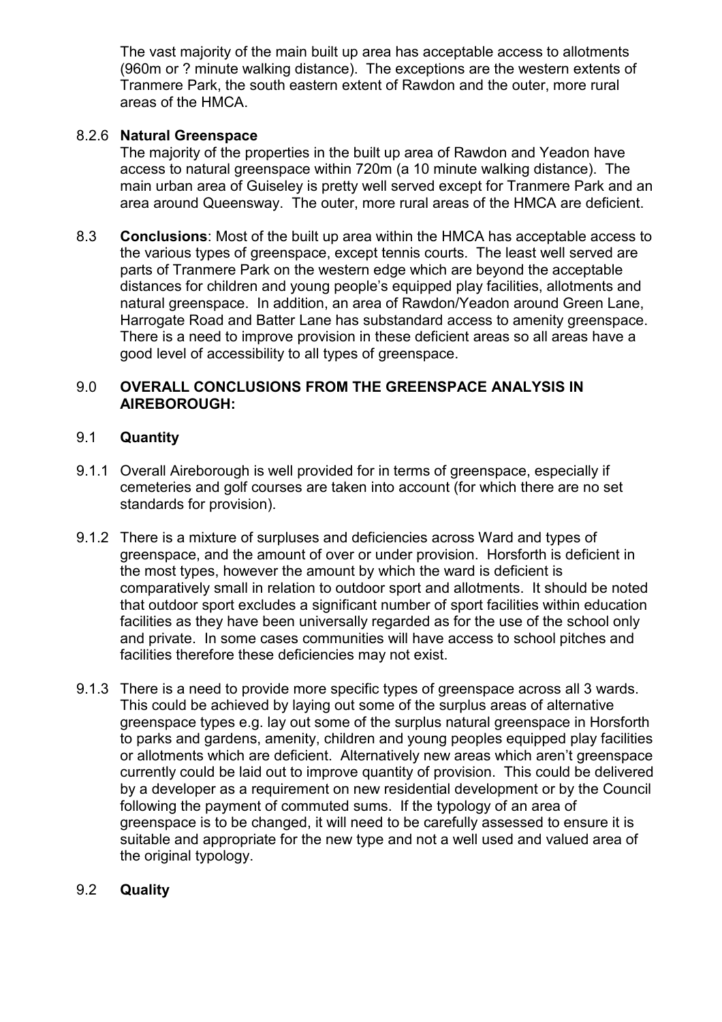The vast majority of the main built up area has acceptable access to allotments (960m or ? minute walking distance). The exceptions are the western extents of Tranmere Park, the south eastern extent of Rawdon and the outer, more rural areas of the HMCA.

# 8.2.6 **Natural Greenspace**

The majority of the properties in the built up area of Rawdon and Yeadon have access to natural greenspace within 720m (a 10 minute walking distance). The main urban area of Guiseley is pretty well served except for Tranmere Park and an area around Queensway. The outer, more rural areas of the HMCA are deficient.

8.3 **Conclusions**: Most of the built up area within the HMCA has acceptable access to the various types of greenspace, except tennis courts. The least well served are parts of Tranmere Park on the western edge which are beyond the acceptable distances for children and young people's equipped play facilities, allotments and natural greenspace. In addition, an area of Rawdon/Yeadon around Green Lane, Harrogate Road and Batter Lane has substandard access to amenity greenspace. There is a need to improve provision in these deficient areas so all areas have a good level of accessibility to all types of greenspace.

## 9.0 **OVERALL CONCLUSIONS FROM THE GREENSPACE ANALYSIS IN AIREBOROUGH:**

## 9.1 **Quantity**

- 9.1.1 Overall Aireborough is well provided for in terms of greenspace, especially if cemeteries and golf courses are taken into account (for which there are no set standards for provision).
- 9.1.2 There is a mixture of surpluses and deficiencies across Ward and types of greenspace, and the amount of over or under provision. Horsforth is deficient in the most types, however the amount by which the ward is deficient is comparatively small in relation to outdoor sport and allotments. It should be noted that outdoor sport excludes a significant number of sport facilities within education facilities as they have been universally regarded as for the use of the school only and private. In some cases communities will have access to school pitches and facilities therefore these deficiencies may not exist.
- 9.1.3 There is a need to provide more specific types of greenspace across all 3 wards. This could be achieved by laying out some of the surplus areas of alternative greenspace types e.g. lay out some of the surplus natural greenspace in Horsforth to parks and gardens, amenity, children and young peoples equipped play facilities or allotments which are deficient. Alternatively new areas which aren't greenspace currently could be laid out to improve quantity of provision. This could be delivered by a developer as a requirement on new residential development or by the Council following the payment of commuted sums. If the typology of an area of greenspace is to be changed, it will need to be carefully assessed to ensure it is suitable and appropriate for the new type and not a well used and valued area of the original typology.

## 9.2 **Quality**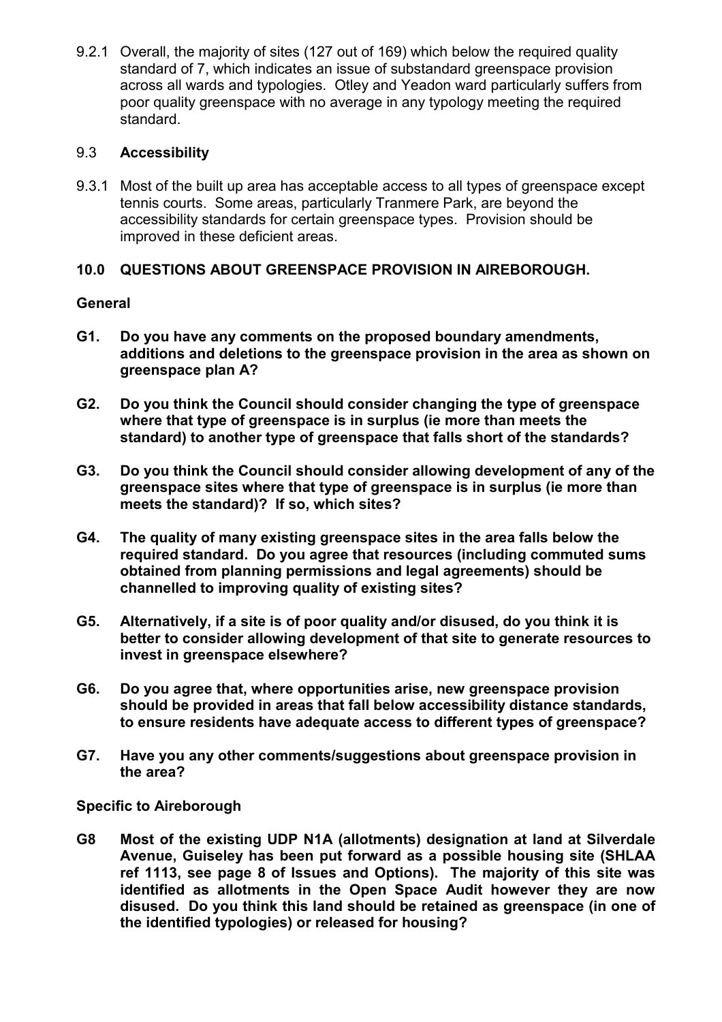9.2.1 Overall, the majority of sites (127 out of 169) which below the required quality standard of 7, which indicates an issue of substandard greenspace provision across all wards and typologies. Otley and Yeadon ward particularly suffers from poor quality greenspace with no average in any typology meeting the required standard.

# 9.3 **Accessibility**

9.3.1 Most of the built up area has acceptable access to all types of greenspace except tennis courts. Some areas, particularly Tranmere Park, are beyond the accessibility standards for certain greenspace types. Provision should be improved in these deficient areas.

# **10.0 QUESTIONS ABOUT GREENSPACE PROVISION IN AIREBOROUGH.**

# **General**

- **G1. Do you have any comments on the proposed boundary amendments, additions and deletions to the greenspace provision in the area as shown on greenspace plan A?**
- **G2. Do you think the Council should consider changing the type of greenspace where that type of greenspace is in surplus (ie more than meets the standard) to another type of greenspace that falls short of the standards?**
- **G3. Do you think the Council should consider allowing development of any of the greenspace sites where that type of greenspace is in surplus (ie more than meets the standard)? If so, which sites?**
- **G4. The quality of many existing greenspace sites in the area falls below the required standard. Do you agree that resources (including commuted sums obtained from planning permissions and legal agreements) should be channelled to improving quality of existing sites?**
- **G5. Alternatively, if a site is of poor quality and/or disused, do you think it is better to consider allowing development of that site to generate resources to invest in greenspace elsewhere?**
- **G6. Do you agree that, where opportunities arise, new greenspace provision should be provided in areas that fall below accessibility distance standards, to ensure residents have adequate access to different types of greenspace?**
- **G7. Have you any other comments/suggestions about greenspace provision in the area?**

**Specific to Aireborough** 

**G8 Most of the existing UDP N1A (allotments) designation at land at Silverdale Avenue, Guiseley has been put forward as a possible housing site (SHLAA ref 1113, see page 8 of Issues and Options). The majority of this site was identified as allotments in the Open Space Audit however they are now disused. Do you think this land should be retained as greenspace (in one of the identified typologies) or released for housing?**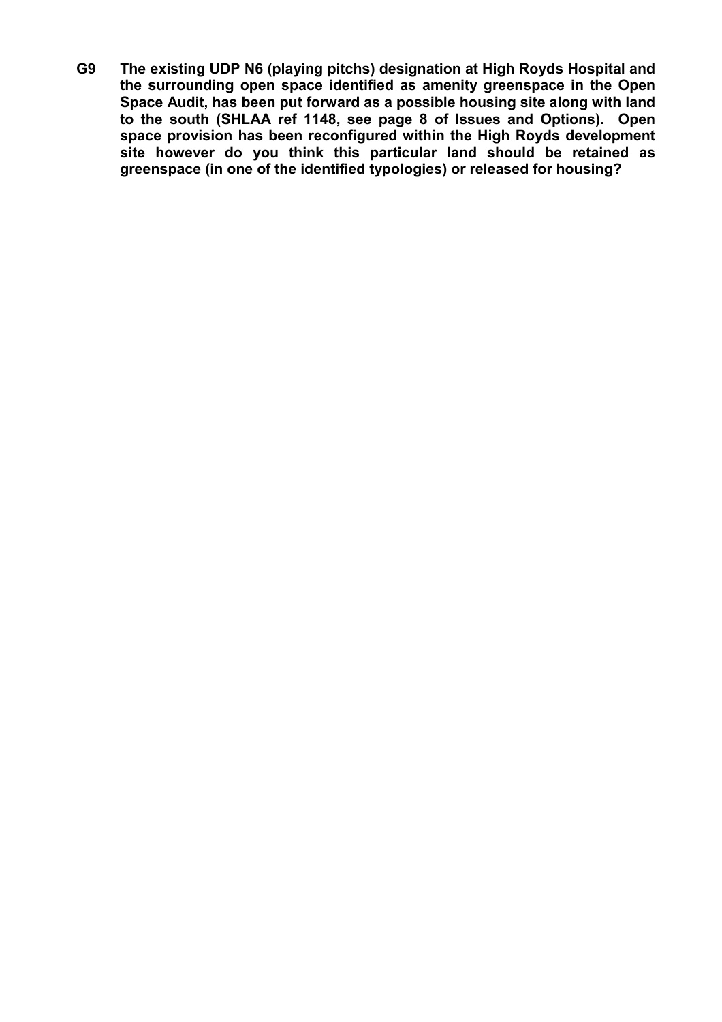**G9 The existing UDP N6 (playing pitchs) designation at High Royds Hospital and the surrounding open space identified as amenity greenspace in the Open Space Audit, has been put forward as a possible housing site along with land to the south (SHLAA ref 1148, see page 8 of Issues and Options). Open space provision has been reconfigured within the High Royds development site however do you think this particular land should be retained as greenspace (in one of the identified typologies) or released for housing?**